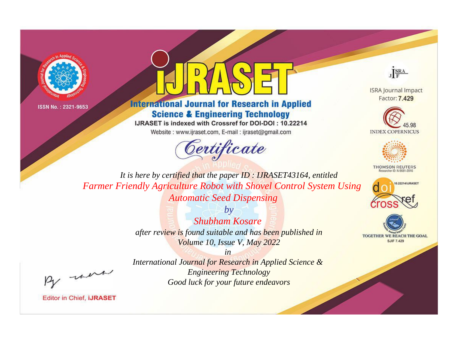



**International Journal for Research in Applied Science & Engineering Technology** 

IJRASET is indexed with Crossref for DOI-DOI: 10.22214

Website: www.ijraset.com, E-mail: ijraset@gmail.com





**ISRA Journal Impact** Factor: 7.429





**THOMSON REUTERS** 



TOGETHER WE REACH THE GOAL **SJIF 7.429** 

*It is here by certified that the paper ID : IJRASET43164, entitled Farmer Friendly Agriculture Robot with Shovel Control System Using Automatic Seed Dispensing*

> *by Shubham Kosare after review is found suitable and has been published in Volume 10, Issue V, May 2022*

, un

*International Journal for Research in Applied Science & Engineering Technology Good luck for your future endeavors*

*in*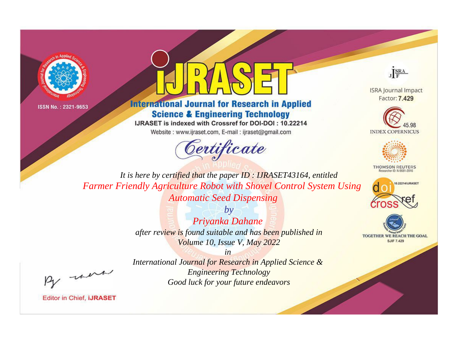



**International Journal for Research in Applied Science & Engineering Technology** 

IJRASET is indexed with Crossref for DOI-DOI: 10.22214

Website: www.ijraset.com, E-mail: ijraset@gmail.com





**ISRA Journal Impact** Factor: 7.429





**THOMSON REUTERS** 



TOGETHER WE REACH THE GOAL **SJIF 7.429** 

It is here by certified that the paper ID: IJRASET43164, entitled **Farmer Friendly Agriculture Robot with Shovel Control System Using Automatic Seed Dispensing** 

> $b\nu$ Priyanka Dahane after review is found suitable and has been published in Volume 10, Issue V, May 2022

were

International Journal for Research in Applied Science & **Engineering Technology** Good luck for your future endeavors

 $in$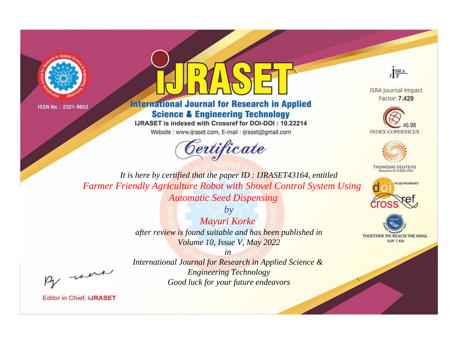



**International Journal for Research in Applied Science & Engineering Technology** 

IJRASET is indexed with Crossref for DOI-DOI: 10.22214

Website: www.ijraset.com, E-mail: ijraset@gmail.com



JERA

**ISRA Journal Impact** Factor: 7.429





**THOMSON REUTERS** 



TOGETHER WE REACH THE GOAL **SJIF 7.429** 

It is here by certified that the paper ID: IJRASET43164, entitled Farmer Friendly Agriculture Robot with Shovel Control System Using **Automatic Seed Dispensing** 

> $b\nu$ Mayuri Korke after review is found suitable and has been published in Volume 10, Issue V, May 2022

> > $in$

were

International Journal for Research in Applied Science & **Engineering Technology** Good luck for your future endeavors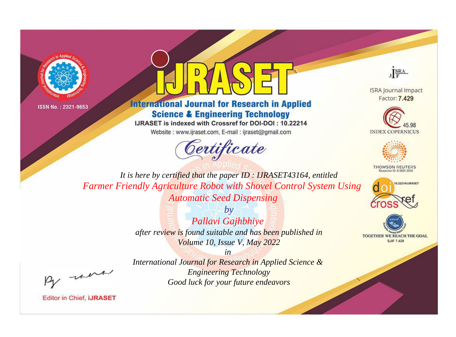



**International Journal for Research in Applied Science & Engineering Technology** 

IJRASET is indexed with Crossref for DOI-DOI: 10.22214

Website: www.ijraset.com, E-mail: ijraset@gmail.com





**ISRA Journal Impact** Factor: 7.429





**THOMSON REUTERS** 



TOGETHER WE REACH THE GOAL **SJIF 7.429** 

*It is here by certified that the paper ID : IJRASET43164, entitled Farmer Friendly Agriculture Robot with Shovel Control System Using Automatic Seed Dispensing*

> *by Pallavi Gajhbhiye after review is found suitable and has been published in Volume 10, Issue V, May 2022*

, un

*International Journal for Research in Applied Science & Engineering Technology Good luck for your future endeavors*

*in*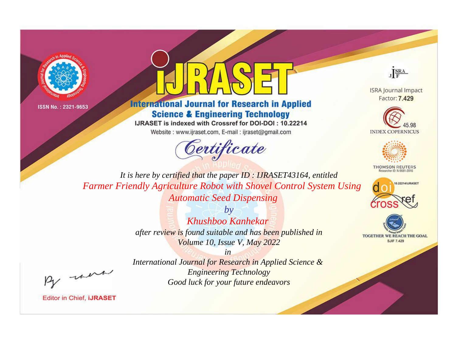



**International Journal for Research in Applied Science & Engineering Technology** 

IJRASET is indexed with Crossref for DOI-DOI: 10.22214

Website: www.ijraset.com, E-mail: ijraset@gmail.com





**ISRA Journal Impact** Factor: 7.429





**THOMSON REUTERS** 



TOGETHER WE REACH THE GOAL **SJIF 7.429** 

*It is here by certified that the paper ID : IJRASET43164, entitled Farmer Friendly Agriculture Robot with Shovel Control System Using Automatic Seed Dispensing*

> *by Khushboo Kanhekar after review is found suitable and has been published in Volume 10, Issue V, May 2022*

, un

*International Journal for Research in Applied Science & Engineering Technology Good luck for your future endeavors*

*in*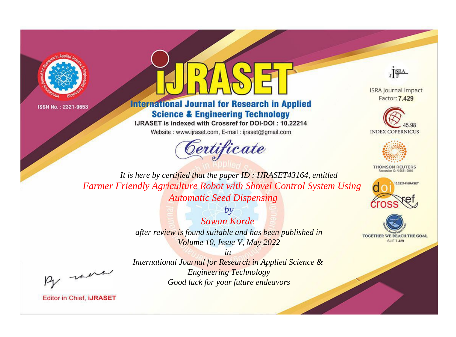



**International Journal for Research in Applied Science & Engineering Technology** 

IJRASET is indexed with Crossref for DOI-DOI: 10.22214

Website: www.ijraset.com, E-mail: ijraset@gmail.com





**ISRA Journal Impact** Factor: 7.429





**THOMSON REUTERS** 



TOGETHER WE REACH THE GOAL **SJIF 7.429** 

*It is here by certified that the paper ID : IJRASET43164, entitled Farmer Friendly Agriculture Robot with Shovel Control System Using Automatic Seed Dispensing*

> *by Sawan Korde after review is found suitable and has been published in Volume 10, Issue V, May 2022*

, un

*International Journal for Research in Applied Science & Engineering Technology Good luck for your future endeavors*

*in*